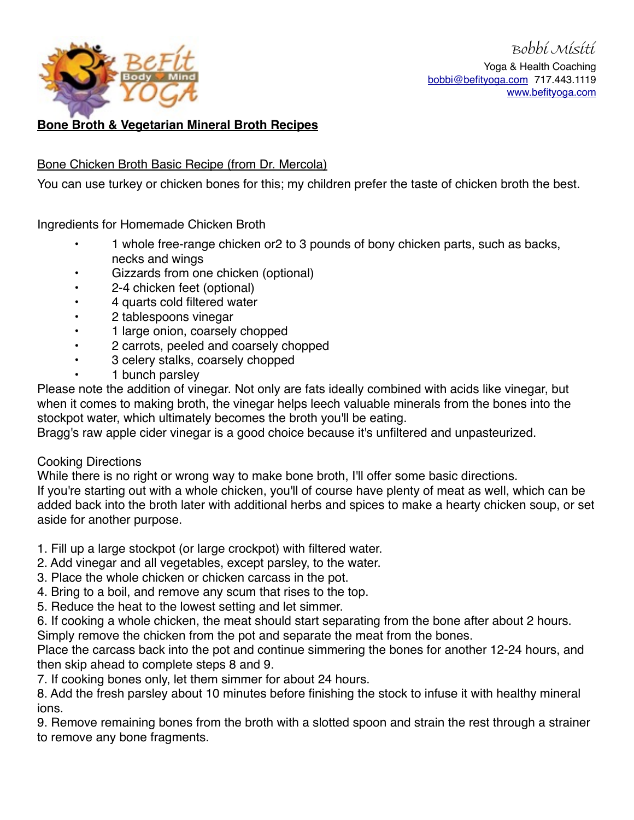

Bobbi Misiti Yoga & Health Coaching [bobbi@befityoga.com](mailto:bobbi@befityoga.com) 717.443.1119 [www.befityoga.com](http://www.befityoga.com)

# **Bone Broth & Vegetarian Mineral Broth Recipes**

# Bone Chicken Broth Basic Recipe (from Dr. Mercola)

You can use turkey or chicken bones for this; my children prefer the taste of chicken broth the best.

Ingredients for Homemade Chicken Broth

- 1 whole free-range chicken or2 to 3 pounds of bony chicken parts, such as backs, necks and wings
- Gizzards from one chicken (optional)
- 2-4 chicken feet (optional)
- 4 quarts cold filtered water
- 2 tablespoons vinegar
- 1 large onion, coarsely chopped
- 2 carrots, peeled and coarsely chopped
- 3 celery stalks, coarsely chopped
- 1 bunch parsley

Please note the addition of vinegar. Not only are fats ideally combined with acids like vinegar, but when it comes to making broth, the vinegar helps leech valuable minerals from the bones into the stockpot water, which ultimately becomes the broth you'll be eating.

Bragg's raw apple cider vinegar is a good choice because it's unfiltered and unpasteurized.

## Cooking Directions

While there is no right or wrong way to make bone broth, I'll offer some basic directions. If you're starting out with a whole chicken, you'll of course have plenty of meat as well, which can be added back into the broth later with additional herbs and spices to make a hearty chicken soup, or set aside for another purpose.

- 1. Fill up a large stockpot (or large crockpot) with filtered water.
- 2. Add vinegar and all vegetables, except parsley, to the water.
- 3. Place the whole chicken or chicken carcass in the pot.
- 4. Bring to a boil, and remove any scum that rises to the top.
- 5. Reduce the heat to the lowest setting and let simmer.
- 6. If cooking a whole chicken, the meat should start separating from the bone after about 2 hours. Simply remove the chicken from the pot and separate the meat from the bones.

Place the carcass back into the pot and continue simmering the bones for another 12-24 hours, and then skip ahead to complete steps 8 and 9.

7. If cooking bones only, let them simmer for about 24 hours.

8. Add the fresh parsley about 10 minutes before finishing the stock to infuse it with healthy mineral ions.

9. Remove remaining bones from the broth with a slotted spoon and strain the rest through a strainer to remove any bone fragments.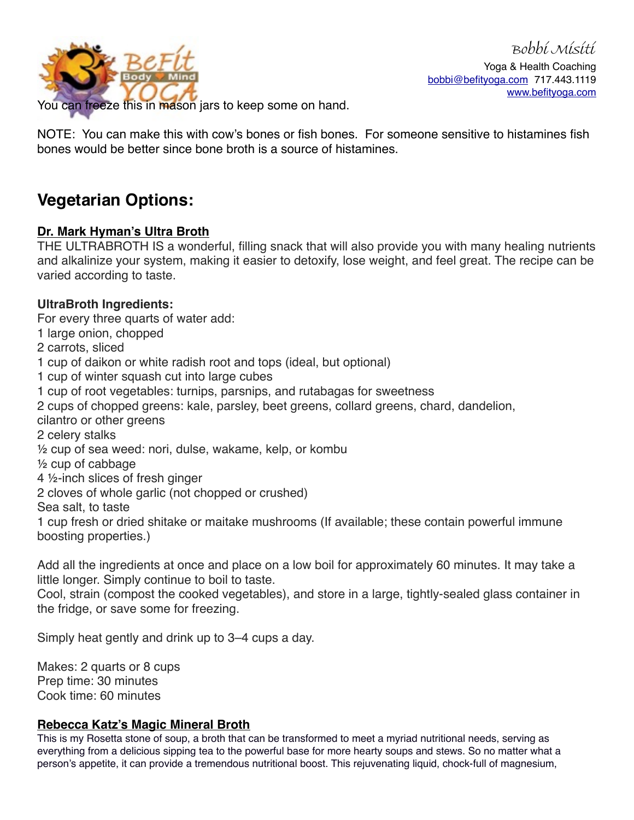

You can freeze this in mason jars to keep some on hand.

NOTE: You can make this with cow's bones or fish bones. For someone sensitive to histamines fish bones would be better since bone broth is a source of histamines.

# **Vegetarian Options:**

# **Dr. Mark Hyman's Ultra Broth**

THE ULTRABROTH IS a wonderful, filling snack that will also provide you with many healing nutrients and alkalinize your system, making it easier to detoxify, lose weight, and feel great. The recipe can be varied according to taste.

# **UltraBroth Ingredients:**

For every three quarts of water add:

1 large onion, chopped

2 carrots, sliced

- 1 cup of daikon or white radish root and tops (ideal, but optional)
- 1 cup of winter squash cut into large cubes
- 1 cup of root vegetables: turnips, parsnips, and rutabagas for sweetness
- 2 cups of chopped greens: kale, parsley, beet greens, collard greens, chard, dandelion,
- cilantro or other greens
- 2 celery stalks
- ½ cup of sea weed: nori, dulse, wakame, kelp, or kombu
- ½ cup of cabbage
- 4 ½-inch slices of fresh ginger
- 2 cloves of whole garlic (not chopped or crushed)

Sea salt, to taste

1 cup fresh or dried shitake or maitake mushrooms (If available; these contain powerful immune boosting properties.)

Add all the ingredients at once and place on a low boil for approximately 60 minutes. It may take a little longer. Simply continue to boil to taste.

Cool, strain (compost the cooked vegetables), and store in a large, tightly-sealed glass container in the fridge, or save some for freezing.

Simply heat gently and drink up to 3–4 cups a day.

Makes: 2 quarts or 8 cups Prep time: 30 minutes Cook time: 60 minutes

# **Rebecca Katz's Magic Mineral Broth**

This is my Rosetta stone of soup, a broth that can be transformed to meet a myriad nutritional needs, serving as everything from a delicious sipping tea to the powerful base for more hearty soups and stews. So no matter what a person's appetite, it can provide a tremendous nutritional boost. This rejuvenating liquid, chock-full of magnesium,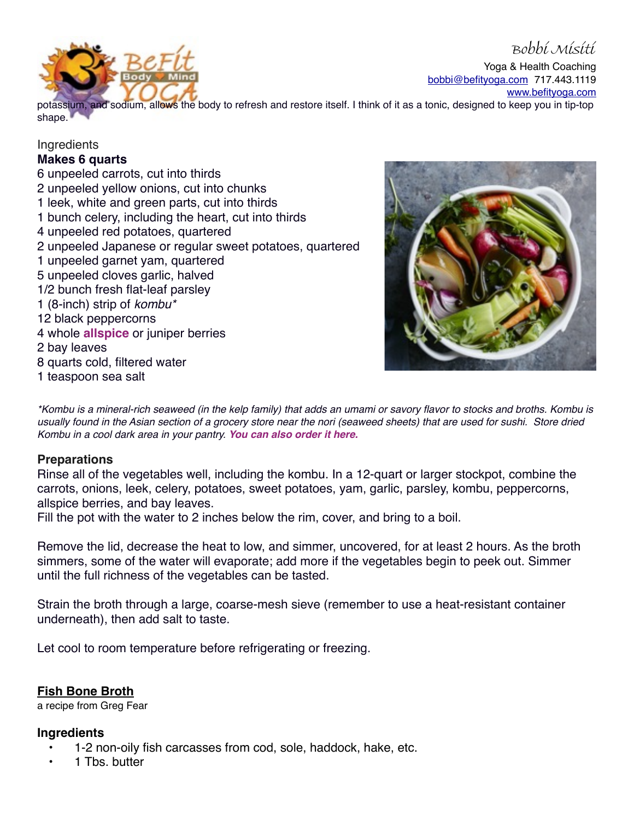

Yoga & Health Coaching [bobbi@befityoga.com](mailto:bobbi@befityoga.com) 717.443.1119 [www.befityoga.com](http://www.befityoga.com)

potassium, and sodium, allows the body to refresh and restore itself. I think of it as a tonic, designed to keep you in tip-top shape.

#### **Ingredients**

#### **Makes 6 quarts**

6 unpeeled carrots, cut into thirds 2 unpeeled yellow onions, cut into chunks 1 leek, white and green parts, cut into thirds 1 bunch celery, including the heart, cut into thirds 4 unpeeled red potatoes, quartered 2 unpeeled Japanese or regular sweet potatoes, quartered 1 unpeeled garnet yam, quartered 5 unpeeled cloves garlic, halved 1/2 bunch fresh flat-leaf parsley 1 (8-inch) strip of *kombu\** 12 black peppercorns 4 whole **[allspice](http://www.spicely.com/#_l_6z)** or juniper berries 2 bay leaves 8 quarts cold, filtered water 1 teaspoon sea salt



*\*Kombu is a mineral-rich seaweed (in the kelp family) that adds an umami or savory flavor to stocks and broths. Kombu is usually found in the Asian section of a grocery store near the nori (seaweed sheets) that are used for sushi. Store dried Kombu in a cool dark area in your pantry. [You can also order it here.](http://www.amazon.com/gp/product/B001HTKNFA/ref=as_li_tl?ie=UTF8&camp=1789&creative=9325&creativeASIN=B001HTKNFA&linkCode=as2&tag=rebeccakatzco-20&linkId=GO3G654IWYCDD2VJ)*

## **Preparations**

Rinse all of the vegetables well, including the kombu. In a 12-quart or larger stockpot, combine the carrots, onions, leek, celery, potatoes, sweet potatoes, yam, garlic, parsley, kombu, peppercorns, allspice berries, and bay leaves.

Fill the pot with the water to 2 inches below the rim, cover, and bring to a boil.

Remove the lid, decrease the heat to low, and simmer, uncovered, for at least 2 hours. As the broth simmers, some of the water will evaporate; add more if the vegetables begin to peek out. Simmer until the full richness of the vegetables can be tasted.

Strain the broth through a large, coarse-mesh sieve (remember to use a heat-resistant container underneath), then add salt to taste.

Let cool to room temperature before refrigerating or freezing.

## **Fish Bone Broth**

a recipe from Greg Fear

## **Ingredients**

- 1-2 non-oily fish carcasses from cod, sole, haddock, hake, etc.
- 1 Tbs. butter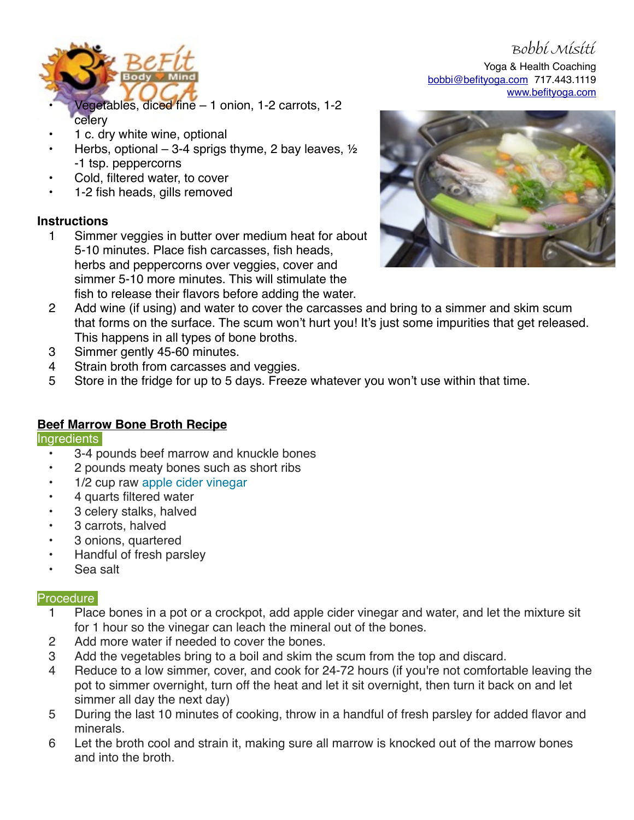

Bobbi Misiti Yoga & Health Coaching [bobbi@befityoga.com](mailto:bobbi@befityoga.com) 717.443.1119 [www.befityoga.com](http://www.befityoga.com)

- Vegetables, diced fine 1 onion, 1-2 carrots, 1-2 celery
- 1 c. dry white wine, optional
- Herbs, optional 3-4 sprigs thyme, 2 bay leaves,  $\frac{1}{2}$ -1 tsp. peppercorns
- Cold, filtered water, to cover
- 1-2 fish heads, gills removed

# **Instructions**

1 Simmer veggies in butter over medium heat for about 5-10 minutes. Place fish carcasses, fish heads, herbs and peppercorns over veggies, cover and simmer 5-10 more minutes. This will stimulate the fish to release their flavors before adding the water.



- 2 Add wine (if using) and water to cover the carcasses and bring to a simmer and skim scum that forms on the surface. The scum won't hurt you! It's just some impurities that get released. This happens in all types of bone broths.
- 3 Simmer gently 45-60 minutes.
- 4 Strain broth from carcasses and veggies.
- 5 Store in the fridge for up to 5 days. Freeze whatever you won't use within that time.

# **Beef Marrow Bone Broth Recipe**

## **Ingredients**

- 3-4 pounds beef marrow and knuckle bones
- 2 pounds meaty bones such as short ribs
- 1/2 cup raw [apple cider vinegar](http://articles.mercola.com/apple-cider-vinegar-benefits-uses.aspx)
- 4 quarts filtered water
- 3 celery stalks, halved
- 3 carrots, halved
- 3 onions, quartered
- Handful of fresh parsley
- Sea salt

## **Procedure**

- 1 Place bones in a pot or a crockpot, add apple cider vinegar and water, and let the mixture sit for 1 hour so the vinegar can leach the mineral out of the bones.
- 2 Add more water if needed to cover the bones.
- 3 Add the vegetables bring to a boil and skim the scum from the top and discard.
- 4 Reduce to a low simmer, cover, and cook for 24-72 hours (if you're not comfortable leaving the pot to simmer overnight, turn off the heat and let it sit overnight, then turn it back on and let simmer all day the next day)
- 5 During the last 10 minutes of cooking, throw in a handful of fresh parsley for added flavor and minerals.
- 6 Let the broth cool and strain it, making sure all marrow is knocked out of the marrow bones and into the broth.